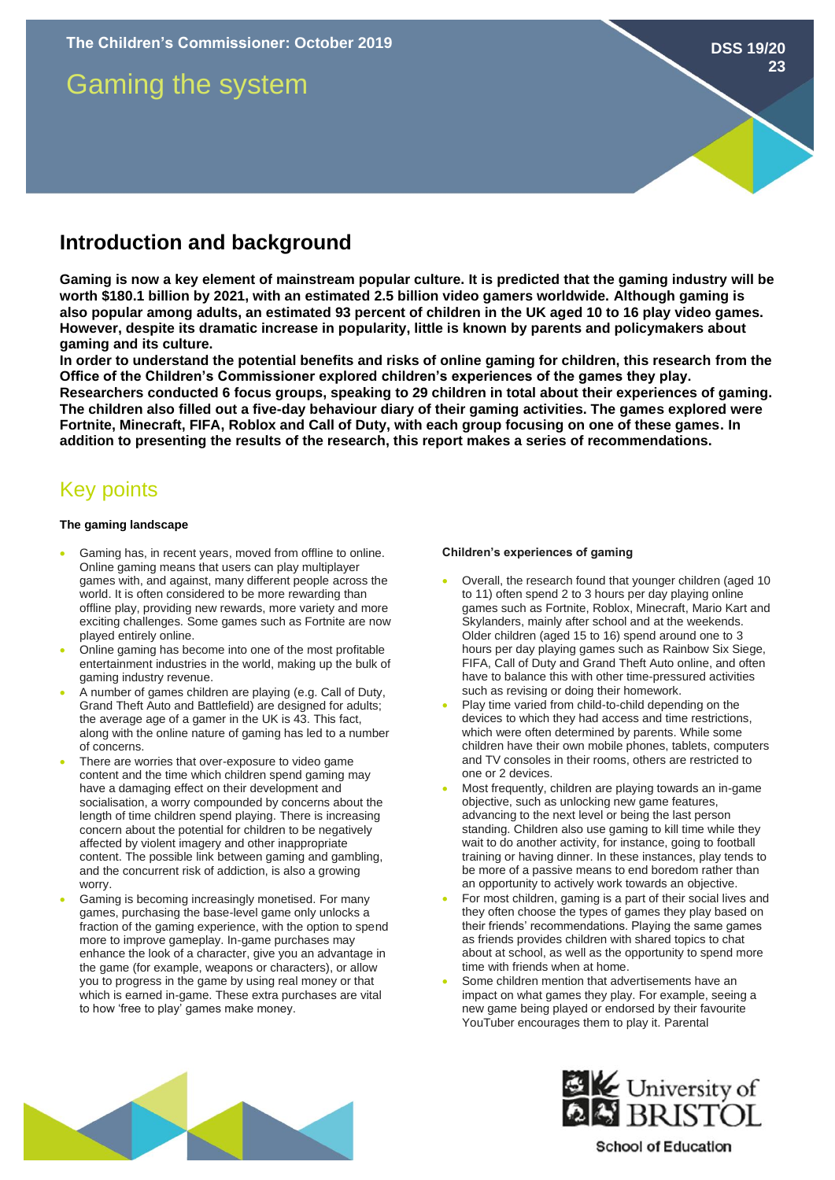# Gaming the system

### **Introduction and background**

**Gaming is now a key element of mainstream popular culture. It is predicted that the gaming industry will be worth \$180.1 billion by 2021, with an estimated 2.5 billion video gamers worldwide. Although gaming is also popular among adults, an estimated 93 percent of children in the UK aged 10 to 16 play video games. However, despite its dramatic increase in popularity, little is known by parents and policymakers about gaming and its culture.**

**In order to understand the potential benefits and risks of online gaming for children, this research from the Office of the Children's Commissioner explored children's experiences of the games they play. Researchers conducted 6 focus groups, speaking to 29 children in total about their experiences of gaming. The children also filled out a five-day behaviour diary of their gaming activities. The games explored were Fortnite, Minecraft, FIFA, Roblox and Call of Duty, with each group focusing on one of these games. In addition to presenting the results of the research, this report makes a series of recommendations.** 

## Key points

#### **The gaming landscape**

- Gaming has, in recent years, moved from offline to online. Online gaming means that users can play multiplayer games with, and against, many different people across the world. It is often considered to be more rewarding than offline play, providing new rewards, more variety and more exciting challenges. Some games such as Fortnite are now played entirely online.
- Online gaming has become into one of the most profitable entertainment industries in the world, making up the bulk of gaming industry revenue.
- A number of games children are playing (e.g. Call of Duty, Grand Theft Auto and Battlefield) are designed for adults; the average age of a gamer in the UK is 43. This fact, along with the online nature of gaming has led to a number of concerns.
- There are worries that over-exposure to video game content and the time which children spend gaming may have a damaging effect on their development and socialisation, a worry compounded by concerns about the length of time children spend playing. There is increasing concern about the potential for children to be negatively affected by violent imagery and other inappropriate content. The possible link between gaming and gambling, and the concurrent risk of addiction, is also a growing worry.
- Gaming is becoming increasingly monetised. For many games, purchasing the base-level game only unlocks a fraction of the gaming experience, with the option to spend more to improve gameplay. In-game purchases may enhance the look of a character, give you an advantage in the game (for example, weapons or characters), or allow you to progress in the game by using real money or that which is earned in-game. These extra purchases are vital to how 'free to play' games make money.

#### **Children's experiences of gaming**

- Overall, the research found that younger children (aged 10 to 11) often spend 2 to 3 hours per day playing online games such as Fortnite, Roblox, Minecraft, Mario Kart and Skylanders, mainly after school and at the weekends. Older children (aged 15 to 16) spend around one to 3 hours per day playing games such as Rainbow Six Siege, FIFA, Call of Duty and Grand Theft Auto online, and often have to balance this with other time-pressured activities such as revising or doing their homework.
- Play time varied from child-to-child depending on the devices to which they had access and time restrictions, which were often determined by parents. While some children have their own mobile phones, tablets, computers and TV consoles in their rooms, others are restricted to one or 2 devices.
- Most frequently, children are playing towards an in-game objective, such as unlocking new game features, advancing to the next level or being the last person standing. Children also use gaming to kill time while they wait to do another activity, for instance, going to football training or having dinner. In these instances, play tends to be more of a passive means to end boredom rather than an opportunity to actively work towards an objective.
- For most children, gaming is a part of their social lives and they often choose the types of games they play based on their friends' recommendations. Playing the same games as friends provides children with shared topics to chat about at school, as well as the opportunity to spend more time with friends when at home.
- Some children mention that advertisements have an impact on what games they play. For example, seeing a new game being played or endorsed by their favourite YouTuber encourages them to play it. Parental





### **School of Education**

**DSS 19/20 23**